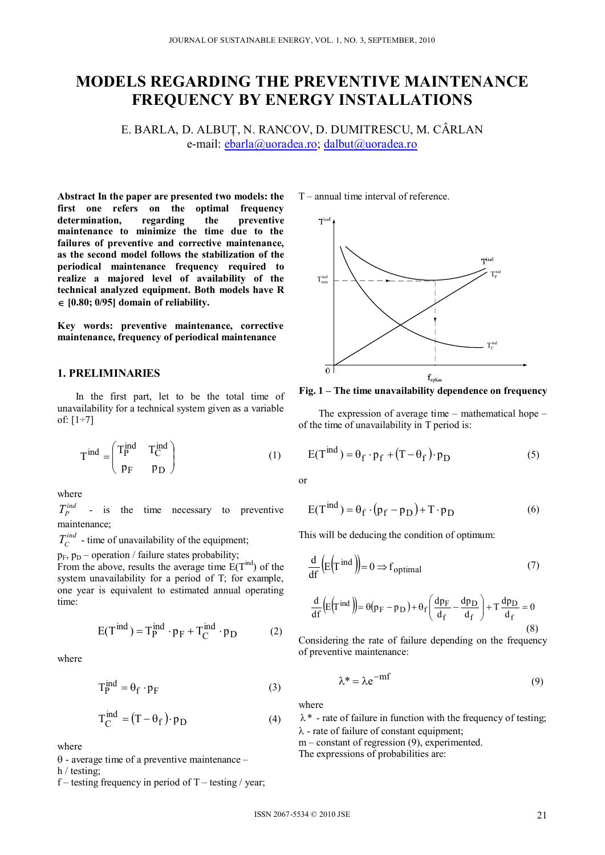# **MODELS REGARDING THE PREVENTIVE MAINTENANCE FREQUENCY BY ENERGY INSTALLATIONS**

E. BARLA, D. ALBUŢ, N. RANCOV, D. DUMITRESCU, M. CÂRLAN e-mail: ebarla@uoradea.ro; dalbut@uoradea.ro

**Abstract In the paper are presented two models: the first one refers on the optimal frequency determination, regarding the preventive maintenance to minimize the time due to the failures of preventive and corrective maintenance, as the second model follows the stabilization of the periodical maintenance frequency required to realize a majored level of availability of the technical analyzed equipment. Both models have R**   $\in$  [0.80; 0/95] domain of reliability.

**Key words: preventive maintenance, corrective maintenance, frequency of periodical maintenance** 

## **1. PRELIMINARIES**

In the first part, let to be the total time of unavailability for a technical system given as a variable of: [1÷7]

$$
T^{\text{ind}} = \begin{pmatrix} T_P^{\text{ind}} & T_C^{\text{ind}} \\ p_F & p_D \end{pmatrix} \tag{1}
$$

where

 $T_P^{ind}$  - is the time necessary to preventive maintenance;

 $T_c^{ind}$  - time of unavailability of the equipment;

 $p_F$ ,  $p_D$  – operation / failure states probability;

From the above, results the average time  $E(T<sup>ind</sup>)$  of the system unavailability for a period of T; for example, one year is equivalent to estimated annual operating time:

$$
E(T^{\text{ind}}) = T_P^{\text{ind}} \cdot p_F + T_C^{\text{ind}} \cdot p_D \tag{2}
$$

where

$$
T_P^{\text{ind}} = \theta_f \cdot p_F \tag{3}
$$

$$
T_C^{\text{ind}} = (T - \theta_f) \cdot p_D \tag{4}
$$

where

 $\theta$  - average time of a preventive maintenance –

h / testing;

f – testing frequency in period of  $T$  – testing / year;

T – annual time interval of reference.



**Fig. 1 – The time unavailability dependence on frequency** 

The expression of average time – mathematical hope – of the time of unavailability in T period is:

$$
E(T^{\text{ind}}) = \theta_f \cdot p_f + (T - \theta_f) \cdot p_D \tag{5}
$$

or

$$
E(T^{\text{ind}}) = \theta_f \cdot (p_f - p_D) + T \cdot p_D \tag{6}
$$

This will be deducing the condition of optimum:

$$
\frac{d}{df}\left(E(T^{\text{ind}})\right) = 0 \Rightarrow f_{\text{optimal}}\tag{7}
$$

$$
\frac{d}{df}\left(E(T^{\text{ind}})\right) = \theta(p_F - p_D) + \theta_f \left(\frac{dp_F}{d_f} - \frac{dp_D}{d_f}\right) + T \frac{dp_D}{d_f} = 0
$$
\n(8)

Considering the rate of failure depending on the frequency of preventive maintenance:

$$
\lambda^* = \lambda e^{-m f} \tag{9}
$$

where

 $\lambda^*$  - rate of failure in function with the frequency of testing;  $\lambda$  - rate of failure of constant equipment;

 $m$  – constant of regression (9), experimented.

The expressions of probabilities are: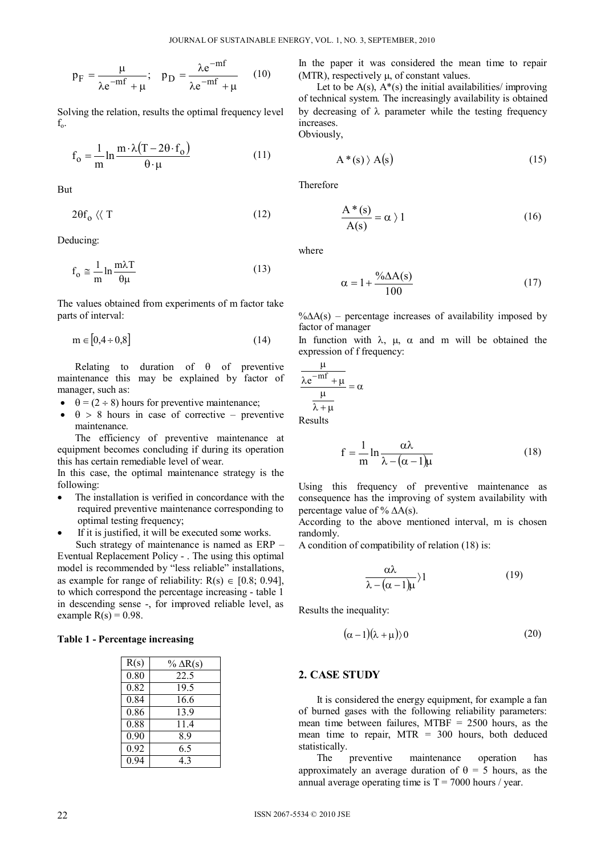$$
p_{F} = \frac{\mu}{\lambda e^{-mf} + \mu}; \quad p_{D} = \frac{\lambda e^{-mf}}{\lambda e^{-mf} + \mu} \quad (10)
$$

Solving the relation, results the optimal frequency level  $f_{o}$ .

$$
f_o = \frac{1}{m} \ln \frac{m \cdot \lambda (T - 2\theta \cdot f_o)}{\theta \cdot \mu}
$$
 (11)

But

$$
2\theta f_o \langle \langle T \rangle \rangle \tag{12}
$$

Deducing:

$$
f_o \approx \frac{1}{m} \ln \frac{m\lambda T}{\theta \mu}
$$
 (13)

The values obtained from experiments of m factor take parts of interval:

$$
\mathbf{m} \in [0, 4 \div 0, 8] \tag{14}
$$

Relating to duration of  $\theta$  of preventive maintenance this may be explained by factor of manager, such as:

- $\theta = (2 \div 8)$  hours for preventive maintenance;
- $\theta > 8$  hours in case of corrective preventive maintenance.

The efficiency of preventive maintenance at equipment becomes concluding if during its operation this has certain remediable level of wear.

In this case, the optimal maintenance strategy is the following:

- The installation is verified in concordance with the required preventive maintenance corresponding to optimal testing frequency;
- If it is justified, it will be executed some works.

Such strategy of maintenance is named as ERP – Eventual Replacement Policy - . The using this optimal model is recommended by "less reliable" installations, as example for range of reliability:  $R(s) \in [0.8; 0.94]$ , to which correspond the percentage increasing - table 1 in descending sense -, for improved reliable level, as example  $R(s) = 0.98$ .

## **Table 1 - Percentage increasing**

| R(s) | $\%$ $\Delta$ R(s) |
|------|--------------------|
| 0.80 | 22.5               |
| 0.82 | 19.5               |
| 0.84 | 16.6               |
| 0.86 | 13.9               |
| 0.88 | 11.4               |
| 0.90 | 8.9                |
| 0.92 | 6.5                |
| 0 94 | 43                 |

In the paper it was considered the mean time to repair (MTR), respectively  $\mu$ , of constant values.

Let to be  $A(s)$ ,  $A^*(s)$  the initial availabilities/ improving of technical system. The increasingly availability is obtained by decreasing of  $\lambda$  parameter while the testing frequency increases. Obviously,

$$
A^*(s) \rangle A(s) \tag{15}
$$

Therefore

$$
\frac{A^*(s)}{A(s)} = \alpha \ \rangle 1 \tag{16}
$$

where

$$
\alpha = 1 + \frac{\% \Delta A(s)}{100} \tag{17}
$$

 $\% \Delta A(s)$  – percentage increases of availability imposed by factor of manager

In function with  $\lambda$ ,  $\mu$ ,  $\alpha$  and m will be obtained the expression of f frequency:

$$
\frac{\frac{\mu}{\lambda e^{-mf} + \mu}}{\frac{\mu}{\lambda + \mu}} = \alpha
$$

Results

$$
f = \frac{1}{m} \ln \frac{\alpha \lambda}{\lambda - (\alpha - 1)\mu}
$$
 (18)

Using this frequency of preventive maintenance as consequence has the improving of system availability with percentage value of  $\%$   $\Delta A(s)$ .

According to the above mentioned interval, m is chosen randomly.

A condition of compatibility of relation (18) is:

$$
\frac{\alpha\lambda}{\lambda - (\alpha - 1)\mu} \rangle 1 \tag{19}
$$

Results the inequality:

$$
(\alpha - 1)(\lambda + \mu)\rangle 0 \tag{20}
$$

### **2. CASE STUDY**

It is considered the energy equipment, for example a fan of burned gases with the following reliability parameters: mean time between failures, MTBF = 2500 hours, as the mean time to repair,  $MTR = 300$  hours, both deduced statistically.

The preventive maintenance operation has approximately an average duration of  $\theta = 5$  hours, as the annual average operating time is  $T = 7000$  hours / year.